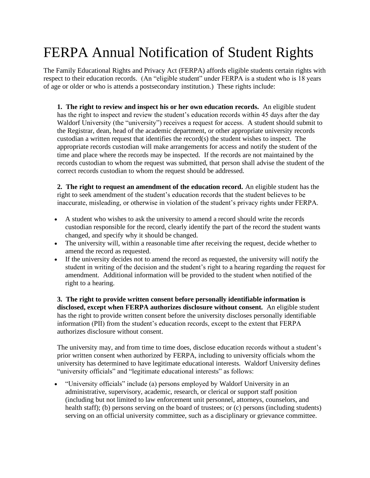## FERPA Annual Notification of Student Rights

The Family Educational Rights and Privacy Act (FERPA) affords eligible students certain rights with respect to their education records. (An "eligible student" under FERPA is a student who is 18 years of age or older or who is attends a postsecondary institution.) These rights include:

**1. The right to review and inspect his or her own education records.** An eligible student has the right to inspect and review the student's education records within 45 days after the day Waldorf University (the "university") receives a request for access. A student should submit to the Registrar, dean, head of the academic department, or other appropriate university records custodian a written request that identifies the record(s) the student wishes to inspect. The appropriate records custodian will make arrangements for access and notify the student of the time and place where the records may be inspected. If the records are not maintained by the records custodian to whom the request was submitted, that person shall advise the student of the correct records custodian to whom the request should be addressed.

**2. The right to request an amendment of the education record.** An eligible student has the right to seek amendment of the student's education records that the student believes to be inaccurate, misleading, or otherwise in violation of the student's privacy rights under FERPA.

- A student who wishes to ask the university to amend a record should write the records custodian responsible for the record, clearly identify the part of the record the student wants changed, and specify why it should be changed.
- The university will, within a reasonable time after receiving the request, decide whether to amend the record as requested.
- If the university decides not to amend the record as requested, the university will notify the student in writing of the decision and the student's right to a hearing regarding the request for amendment. Additional information will be provided to the student when notified of the right to a hearing.

**3. The right to provide written consent before personally identifiable information is disclosed, except when FERPA authorizes disclosure without consent.** An eligible student has the right to provide written consent before the university discloses personally identifiable information (PII) from the student's education records, except to the extent that FERPA authorizes disclosure without consent.

The university may, and from time to time does, disclose education records without a student's prior written consent when authorized by FERPA, including to university officials whom the university has determined to have legitimate educational interests. Waldorf University defines "university officials" and "legitimate educational interests" as follows:

• "University officials" include (a) persons employed by Waldorf University in an administrative, supervisory, academic, research, or clerical or support staff position (including but not limited to law enforcement unit personnel, attorneys, counselors, and health staff); (b) persons serving on the board of trustees; or (c) persons (including students) serving on an official university committee, such as a disciplinary or grievance committee.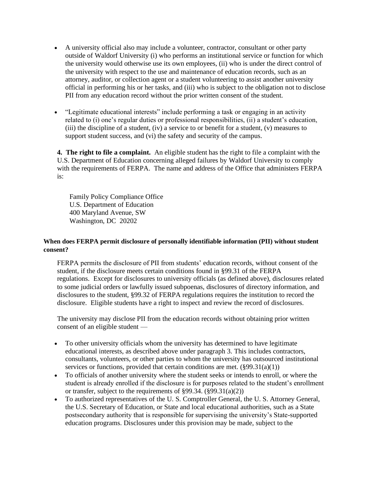- A university official also may include a volunteer, contractor, consultant or other party outside of Waldorf University (i) who performs an institutional service or function for which the university would otherwise use its own employees, (ii) who is under the direct control of the university with respect to the use and maintenance of education records, such as an attorney, auditor, or collection agent or a student volunteering to assist another university official in performing his or her tasks, and (iii) who is subject to the obligation not to disclose PII from any education record without the prior written consent of the student.
- "Legitimate educational interests" include performing a task or engaging in an activity related to (i) one's regular duties or professional responsibilities, (ii) a student's education, (iii) the discipline of a student, (iv) a service to or benefit for a student,  $(v)$  measures to support student success, and (vi) the safety and security of the campus.

**4. The right to file a complaint.** An eligible student has the right to file a complaint with the U.S. Department of Education concerning alleged failures by Waldorf University to comply with the requirements of FERPA. The name and address of the Office that administers FERPA is:

 Family Policy Compliance Office U.S. Department of Education 400 Maryland Avenue, SW Washington, DC 20202

## **When does FERPA permit disclosure of personally identifiable information (PII) without student consent?**

FERPA permits the disclosure of PII from students' education records, without consent of the student, if the disclosure meets certain conditions found in §99.31 of the FERPA regulations. Except for disclosures to university officials (as defined above), disclosures related to some judicial orders or lawfully issued subpoenas, disclosures of directory information, and disclosures to the student, §99.32 of FERPA regulations requires the institution to record the disclosure. Eligible students have a right to inspect and review the record of disclosures.

The university may disclose PII from the education records without obtaining prior written consent of an eligible student —

- To other university officials whom the university has determined to have legitimate educational interests, as described above under paragraph 3. This includes contractors, consultants, volunteers, or other parties to whom the university has outsourced institutional services or functions, provided that certain conditions are met.  $(\frac{899.31(a)(1)}{2})$
- To officials of another university where the student seeks or intends to enroll, or where the student is already enrolled if the disclosure is for purposes related to the student's enrollment or transfer, subject to the requirements of §99.34. (§99.31(a)(2))
- To authorized representatives of the U. S. Comptroller General, the U. S. Attorney General, the U.S. Secretary of Education, or State and local educational authorities, such as a State postsecondary authority that is responsible for supervising the university's State-supported education programs. Disclosures under this provision may be made, subject to the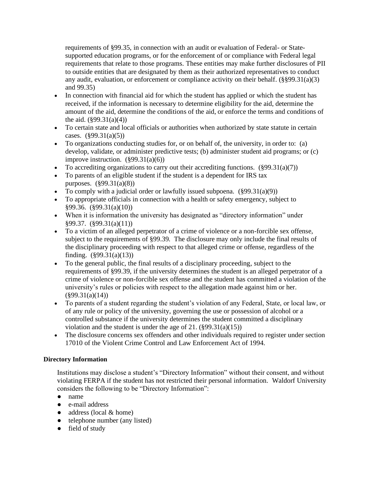requirements of §99.35, in connection with an audit or evaluation of Federal- or Statesupported education programs, or for the enforcement of or compliance with Federal legal requirements that relate to those programs. These entities may make further disclosures of PII to outside entities that are designated by them as their authorized representatives to conduct any audit, evaluation, or enforcement or compliance activity on their behalf.  $(\frac{8}{9}99.31(a)(3))$ and 99.35)

- In connection with financial aid for which the student has applied or which the student has received, if the information is necessary to determine eligibility for the aid, determine the amount of the aid, determine the conditions of the aid, or enforce the terms and conditions of the aid.  $(\frac{699.31(a)(4)}{4})$
- To certain state and local officials or authorities when authorized by state statute in certain cases.  $(\frac{699.31(a)}{5})$
- To organizations conducting studies for, or on behalf of, the university, in order to: (a) develop, validate, or administer predictive tests; (b) administer student aid programs; or (c) improve instruction.  $(\S 99.31(a)(6))$
- To accrediting organizations to carry out their accrediting functions.  $(\frac{899.31(a)}{7})$
- To parents of an eligible student if the student is a dependent for IRS tax purposes. (§99.31(a)(8))
- To comply with a judicial order or lawfully issued subpoena.  $(\S 99.31(a)(9))$
- To appropriate officials in connection with a health or safety emergency, subject to §99.36. (§99.31(a)(10))
- When it is information the university has designated as "directory information" under §99.37. (§99.31(a)(11))
- To a victim of an alleged perpetrator of a crime of violence or a non-forcible sex offense, subject to the requirements of §99.39. The disclosure may only include the final results of the disciplinary proceeding with respect to that alleged crime or offense, regardless of the finding.  $(\S 99.31(a)(13))$
- To the general public, the final results of a disciplinary proceeding, subject to the requirements of §99.39, if the university determines the student is an alleged perpetrator of a crime of violence or non-forcible sex offense and the student has committed a violation of the university's rules or policies with respect to the allegation made against him or her.  $(\$99.31(a)(14))$
- To parents of a student regarding the student's violation of any Federal, State, or local law, or of any rule or policy of the university, governing the use or possession of alcohol or a controlled substance if the university determines the student committed a disciplinary violation and the student is under the age of  $21. (§99.31(a)(15))$
- The disclosure concerns sex offenders and other individuals required to register under section 17010 of the Violent Crime Control and Law Enforcement Act of 1994.

## **Directory Information**

Institutions may disclose a student's "Directory Information" without their consent, and without violating FERPA if the student has not restricted their personal information. Waldorf University considers the following to be "Directory Information":

- name
- e-mail address
- $\bullet$  address (local & home)
- telephone number (any listed)
- field of study